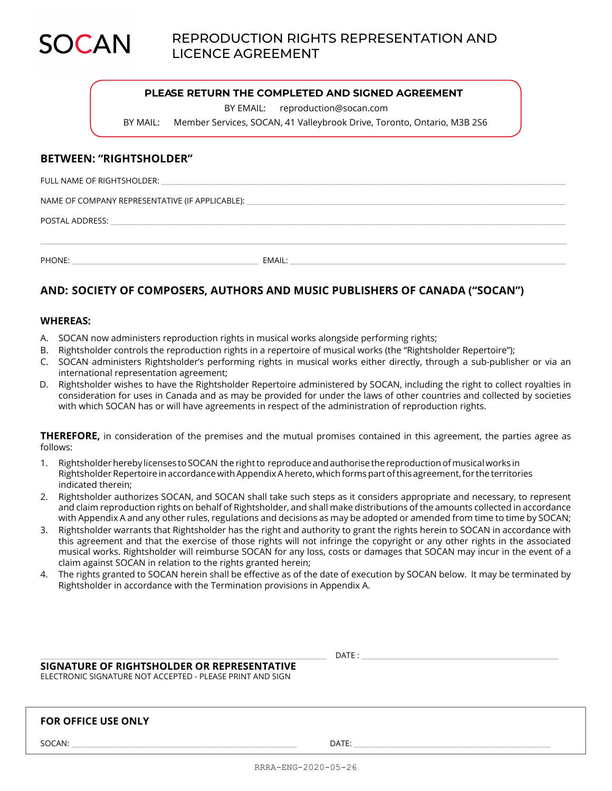

## **PLEASE RETURN THE COMPLETED AND SIGNED AGREEMENT**

BY EMAIL: reproduction@socan.com

BY MAIL: Member Services, SOCAN, 41 Valleybrook Drive, Toronto, Ontario, M3B 2S6

## **BETWEEN: "RIGHTSHOLDER"**

FULL NAME OF RIGHTSHOLDER:

NAME OF COMPANY REPRESENTATIVE (IF APPLICABLE):

POSTAL ADDRESS: \_\_\_\_

PHONE: \_\_\_\_\_\_\_\_\_\_\_\_\_\_\_\_\_\_\_\_\_\_\_\_\_\_\_\_\_\_\_\_\_\_\_\_\_\_\_\_\_\_\_\_\_\_\_\_\_\_\_\_ EMAIL: \_\_\_\_\_\_\_\_\_\_\_\_\_\_\_\_\_\_\_\_\_\_\_\_\_\_\_\_\_\_\_\_\_\_\_\_\_\_\_\_\_\_\_\_\_\_\_\_\_\_\_\_\_\_\_\_\_\_\_\_\_\_\_\_\_\_\_\_\_\_\_\_\_\_\_\_\_

# **AND: SOCIETY OF COMPOSERS, AUTHORS AND MUSIC PUBLISHERS OF CANADA ("SOCAN")**

#### **WHEREAS:**

- A. SOCAN now administers reproduction rights in musical works alongside performing rights;
- B. Rightsholder controls the reproduction rights in a repertoire of musical works (the "Rightsholder Repertoire");
- C. SOCAN administers Rightsholder's performing rights in musical works either directly, through a sub-publisher or via an international representation agreement;

\_\_\_\_\_\_\_\_\_\_\_\_\_\_\_\_\_\_\_\_\_\_\_\_\_\_\_\_\_\_\_\_\_\_\_\_\_\_\_\_\_\_\_\_\_\_\_\_\_\_\_\_\_\_\_\_\_\_\_\_\_\_\_\_\_\_\_\_\_\_\_\_\_\_\_\_\_\_\_\_\_\_\_\_\_\_\_\_\_\_\_\_\_\_\_\_\_\_\_\_\_\_\_\_\_\_\_\_\_\_\_\_\_\_\_\_\_\_\_\_\_\_\_\_\_\_\_\_\_\_\_\_\_\_\_\_\_\_\_\_\_\_\_\_\_\_\_

D. Rightsholder wishes to have the Rightsholder Repertoire administered by SOCAN, including the right to collect royalties in consideration for uses in Canada and as may be provided for under the laws of other countries and collected by societies with which SOCAN has or will have agreements in respect of the administration of reproduction rights.

**THEREFORE,** in consideration of the premises and the mutual promises contained in this agreement, the parties agree as follows:

- 1. Rightsholder hereby licenses to SOCAN the right to reproduce and authorise the reproduction of musical works in Rightsholder Repertoire in accordance with Appendix A hereto, which forms part of this agreement, for the territories indicated therein;
- 2. Rightsholder authorizes SOCAN, and SOCAN shall take such steps as it considers appropriate and necessary, to represent and claim reproduction rights on behalf of Rightsholder, and shall make distributions of the amounts collected in accordance with Appendix A and any other rules, regulations and decisions as may be adopted or amended from time to time by SOCAN;
- 3. Rightsholder warrants that Rightsholder has the right and authority to grant the rights herein to SOCAN in accordance with this agreement and that the exercise of those rights will not infringe the copyright or any other rights in the associated musical works. Rightsholder will reimburse SOCAN for any loss, costs or damages that SOCAN may incur in the event of a claim against SOCAN in relation to the rights granted herein;
- 4. The rights granted to SOCAN herein shall be effective as of the date of execution by SOCAN below. It may be terminated by Rightsholder in accordance with the Termination provisions in Appendix A.

\_\_\_\_\_\_\_\_\_\_\_\_\_\_\_\_\_\_\_\_\_\_\_\_\_\_\_\_\_\_\_\_\_\_\_\_\_\_\_\_\_\_\_\_\_\_\_\_\_\_\_\_\_\_\_\_\_\_\_\_\_\_\_\_\_\_\_\_\_\_\_\_\_\_\_\_\_\_\_\_ DATE : \_\_\_\_\_\_\_\_\_\_\_\_\_\_\_\_\_\_\_\_\_\_\_\_\_\_\_\_\_\_\_\_\_\_\_\_\_\_\_\_\_\_\_\_\_\_\_\_\_\_\_\_\_\_\_

|  | SIGNATURE OF RIGHTSHOLDER OR REPRESENTATIVE |
|--|---------------------------------------------|
|  |                                             |

ELECTRONIC SIGNATURE NOT ACCEPTED - PLEASE PRINT AND SIGN

# **FOR OFFICE USE ONLY**

 ${\sf SOCAN:}\quad$   $\blacksquare$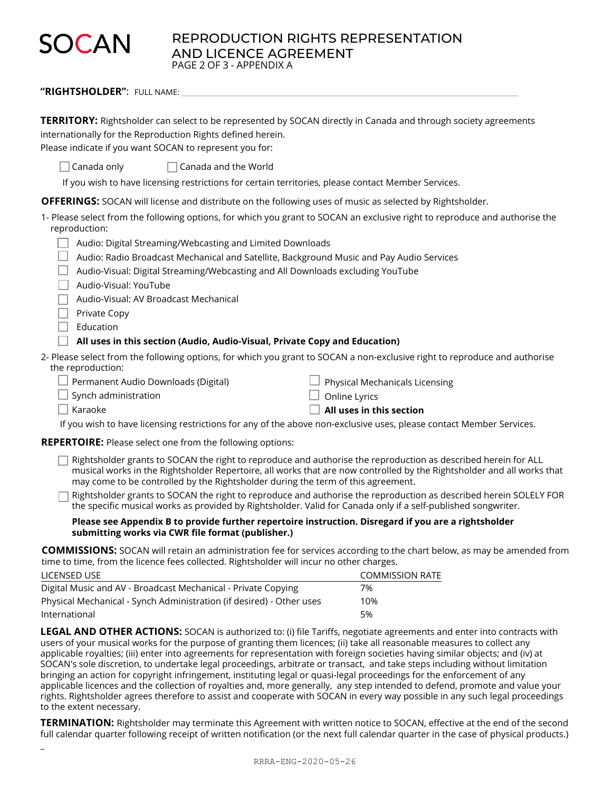# **SOCAN**

\_

REPRODUCTION RIGHTS REPRESENTATION AND LICENCE AGREEMENT PAGE 2 OF 3 - APPENDIX A

"RIGHTSHOLDER": FULL NAME:

| TERRITORY: Rightsholder can select to be represented by SOCAN directly in Canada and through society agreements<br>internationally for the Reproduction Rights defined herein.<br>Please indicate if you want SOCAN to represent you for:                                                                                    |  |  |  |  |
|------------------------------------------------------------------------------------------------------------------------------------------------------------------------------------------------------------------------------------------------------------------------------------------------------------------------------|--|--|--|--|
| Canada only<br>Canada and the World                                                                                                                                                                                                                                                                                          |  |  |  |  |
| If you wish to have licensing restrictions for certain territories, please contact Member Services.                                                                                                                                                                                                                          |  |  |  |  |
| <b>OFFERINGS:</b> SOCAN will license and distribute on the following uses of music as selected by Rightsholder.                                                                                                                                                                                                              |  |  |  |  |
| 1- Please select from the following options, for which you grant to SOCAN an exclusive right to reproduce and authorise the<br>reproduction:                                                                                                                                                                                 |  |  |  |  |
| Audio: Digital Streaming/Webcasting and Limited Downloads                                                                                                                                                                                                                                                                    |  |  |  |  |
| Audio: Radio Broadcast Mechanical and Satellite, Background Music and Pay Audio Services                                                                                                                                                                                                                                     |  |  |  |  |
| Audio-Visual: Digital Streaming/Webcasting and All Downloads excluding YouTube                                                                                                                                                                                                                                               |  |  |  |  |
| Audio-Visual: YouTube                                                                                                                                                                                                                                                                                                        |  |  |  |  |
| Audio-Visual: AV Broadcast Mechanical                                                                                                                                                                                                                                                                                        |  |  |  |  |
| Private Copy                                                                                                                                                                                                                                                                                                                 |  |  |  |  |
| Education                                                                                                                                                                                                                                                                                                                    |  |  |  |  |
| All uses in this section (Audio, Audio-Visual, Private Copy and Education)                                                                                                                                                                                                                                                   |  |  |  |  |
| 2- Please select from the following options, for which you grant to SOCAN a non-exclusive right to reproduce and authorise<br>the reproduction:                                                                                                                                                                              |  |  |  |  |
| Permanent Audio Downloads (Digital)<br>Physical Mechanicals Licensing                                                                                                                                                                                                                                                        |  |  |  |  |
| Synch administration<br>Online Lyrics                                                                                                                                                                                                                                                                                        |  |  |  |  |
| Karaoke<br>All uses in this section                                                                                                                                                                                                                                                                                          |  |  |  |  |
| If you wish to have licensing restrictions for any of the above non-exclusive uses, please contact Member Services.                                                                                                                                                                                                          |  |  |  |  |
| <b>REPERTOIRE:</b> Please select one from the following options:                                                                                                                                                                                                                                                             |  |  |  |  |
| Rightsholder grants to SOCAN the right to reproduce and authorise the reproduction as described herein for ALL<br>musical works in the Rightsholder Repertoire, all works that are now controlled by the Rightsholder and all works that<br>may come to be controlled by the Rightsholder during the term of this agreement. |  |  |  |  |
| Rightsholder grants to SOCAN the right to reproduce and authorise the reproduction as described herein SOLELY FOR<br>the specific musical works as provided by Rightsholder. Valid for Canada only if a self-published songwriter.                                                                                           |  |  |  |  |
| Please see Appendix B to provide further repertoire instruction. Disregard if you are a rightsholder<br>submitting works via CWR file format (publisher.)                                                                                                                                                                    |  |  |  |  |
| <b>COMMISSIONS:</b> SOCAN will retain an administration fee for services according to the chart below, as may be amended from<br>time to time, from the licence fees collected. Rightsholder will incur no other charges.                                                                                                    |  |  |  |  |

| LICENSED USE                                                         | COMMISSION RATE |
|----------------------------------------------------------------------|-----------------|
| Digital Music and AV - Broadcast Mechanical - Private Copying        | 7%              |
| Physical Mechanical - Synch Administration (if desired) - Other uses | 10%             |
| International                                                        | 5%              |

**LEGAL AND OTHER ACTIONS:** SOCAN is authorized to: (i) file Tariffs, negotiate agreements and enter into contracts with users of your musical works for the purpose of granting them licences; (ii) take all reasonable measures to collect any applicable royalties; (iii) enter into agreements for representation with foreign societies having similar objects; and (iv) at SOCAN's sole discretion, to undertake legal proceedings, arbitrate or transact, and take steps including without limitation bringing an action for copyright infringement, instituting legal or quasi-legal proceedings for the enforcement of any applicable licences and the collection of royalties and, more generally, any step intended to defend, promote and value your rights. Rightsholder agrees therefore to assist and cooperate with SOCAN in every way possible in any such legal proceedings to the extent necessary.

**TERMINATION:** Rightsholder may terminate this Agreement with written notice to SOCAN, effective at the end of the second full calendar quarter following receipt of written notification (or the next full calendar quarter in the case of physical products.)